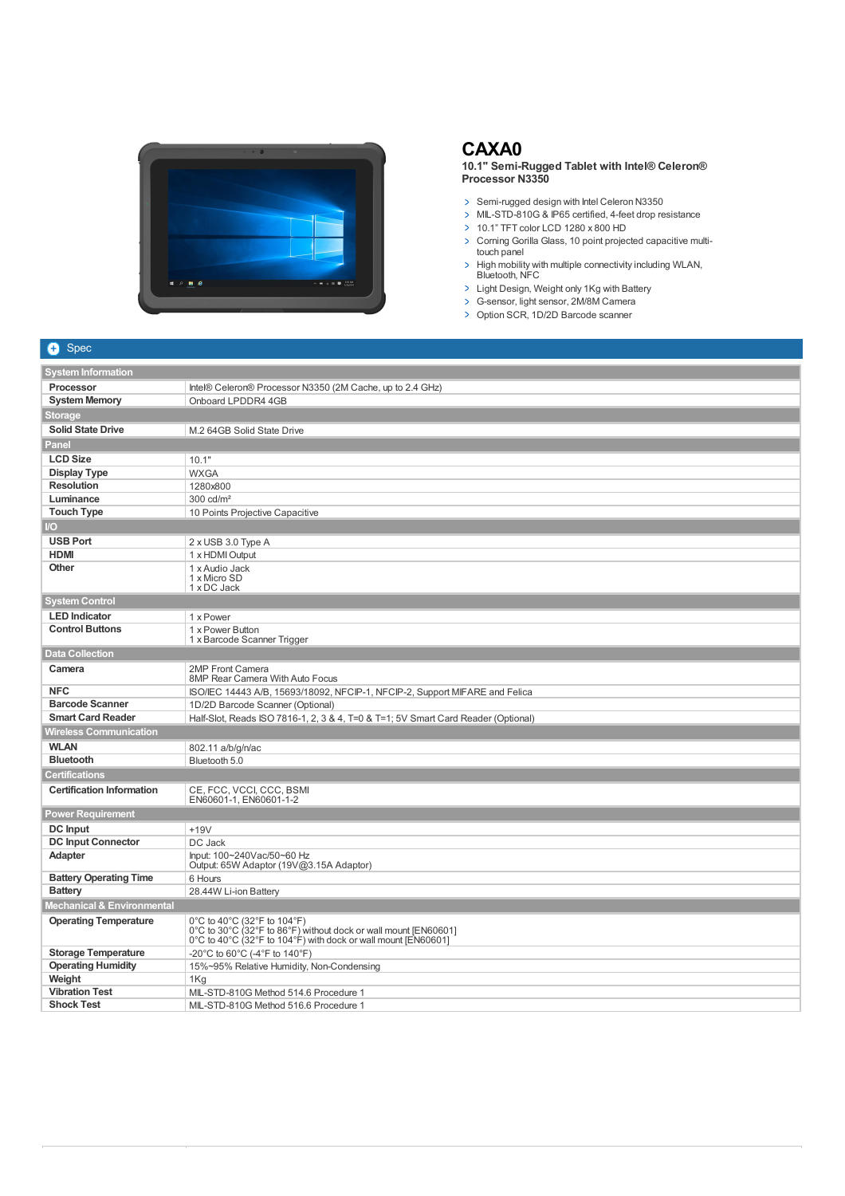

## **CAXA0**

**10.1" Semi-Rugged Tablet with Intel® Celeron® Processor N3350**

- > Semi-rugged design with Intel Celeron N3350
- MIL-STD-810G & IP65 certified, 4-feet drop resistance
- 10.1" TFT color LCD 1280 x 800 HD
- > Corning Gorilla Glass, 10 point projected capacitive multitouch panel
- High mobility with multiple connectivity including WLAN, Bluetooth, NFC
- > Light Design, Weight only 1Kg with Battery
- G-sensor, light sensor, 2M/8M Camera
- > Option SCR, 1D/2D Barcode scanner

## $\bullet$  Spec

| and the second second second second second second second second second second second second second second second second second second second second second second second second second second second second second second seco |                                                                                                                                                                 |  |
|--------------------------------------------------------------------------------------------------------------------------------------------------------------------------------------------------------------------------------|-----------------------------------------------------------------------------------------------------------------------------------------------------------------|--|
| <b>System Information</b>                                                                                                                                                                                                      |                                                                                                                                                                 |  |
| <b>Processor</b>                                                                                                                                                                                                               | Intel® Celeron® Processor N3350 (2M Cache, up to 2.4 GHz)                                                                                                       |  |
| <b>System Memory</b>                                                                                                                                                                                                           | Onboard LPDDR4 4GB                                                                                                                                              |  |
| <b>Storage</b>                                                                                                                                                                                                                 |                                                                                                                                                                 |  |
| <b>Solid State Drive</b>                                                                                                                                                                                                       | M.2 64GB Solid State Drive                                                                                                                                      |  |
| Panel                                                                                                                                                                                                                          |                                                                                                                                                                 |  |
| <b>LCD Size</b>                                                                                                                                                                                                                | 10.1"                                                                                                                                                           |  |
| <b>Display Type</b>                                                                                                                                                                                                            | <b>WXGA</b>                                                                                                                                                     |  |
| <b>Resolution</b>                                                                                                                                                                                                              | 1280x800                                                                                                                                                        |  |
| Luminance                                                                                                                                                                                                                      | $300 \text{ cd/m}^2$                                                                                                                                            |  |
| <b>Touch Type</b>                                                                                                                                                                                                              | 10 Points Projective Capacitive                                                                                                                                 |  |
| $\overline{1}$                                                                                                                                                                                                                 |                                                                                                                                                                 |  |
| <b>USB Port</b>                                                                                                                                                                                                                | 2 x USB 3.0 Type A                                                                                                                                              |  |
| <b>HDMI</b>                                                                                                                                                                                                                    | 1 x HDMI Output                                                                                                                                                 |  |
| Other                                                                                                                                                                                                                          | 1 x Audio Jack                                                                                                                                                  |  |
|                                                                                                                                                                                                                                | 1 x Micro SD                                                                                                                                                    |  |
|                                                                                                                                                                                                                                | 1 x DC Jack                                                                                                                                                     |  |
| <b>System Control</b>                                                                                                                                                                                                          |                                                                                                                                                                 |  |
| <b>LED</b> Indicator                                                                                                                                                                                                           | 1 x Power                                                                                                                                                       |  |
| <b>Control Buttons</b>                                                                                                                                                                                                         | 1 x Power Button                                                                                                                                                |  |
| 1 x Barcode Scanner Trigger                                                                                                                                                                                                    |                                                                                                                                                                 |  |
| <b>Data Collection</b>                                                                                                                                                                                                         |                                                                                                                                                                 |  |
| Camera                                                                                                                                                                                                                         | 2MP Front Camera<br>8MP Rear Camera With Auto Focus                                                                                                             |  |
| <b>NFC</b>                                                                                                                                                                                                                     | ISO/IEC 14443 A/B, 15693/18092, NFCIP-1, NFCIP-2, Support MIFARE and Felica                                                                                     |  |
| <b>Barcode Scanner</b>                                                                                                                                                                                                         | 1D/2D Barcode Scanner (Optional)                                                                                                                                |  |
| <b>Smart Card Reader</b>                                                                                                                                                                                                       | Half-Slot, Reads ISO 7816-1, 2, 3 & 4, T=0 & T=1; 5V Smart Card Reader (Optional)                                                                               |  |
| <b>Wireless Communication</b>                                                                                                                                                                                                  |                                                                                                                                                                 |  |
| <b>WLAN</b>                                                                                                                                                                                                                    | 802.11 a/b/g/n/ac                                                                                                                                               |  |
| <b>Bluetooth</b>                                                                                                                                                                                                               | Bluetooth 5.0                                                                                                                                                   |  |
| <b>Certifications</b>                                                                                                                                                                                                          |                                                                                                                                                                 |  |
| <b>Certification Information</b>                                                                                                                                                                                               | CE, FCC, VCCI, CCC, BSMI<br>EN60601-1, EN60601-1-2                                                                                                              |  |
| <b>Power Requirement</b>                                                                                                                                                                                                       |                                                                                                                                                                 |  |
| <b>DC</b> Input                                                                                                                                                                                                                | $+19V$                                                                                                                                                          |  |
| <b>DC Input Connector</b>                                                                                                                                                                                                      | DC Jack                                                                                                                                                         |  |
| Adapter                                                                                                                                                                                                                        | Input: 100~240Vac/50~60 Hz                                                                                                                                      |  |
|                                                                                                                                                                                                                                | Output: 65W Adaptor (19V@3.15A Adaptor)                                                                                                                         |  |
| <b>Battery Operating Time</b>                                                                                                                                                                                                  | 6 Hours                                                                                                                                                         |  |
| <b>Battery</b>                                                                                                                                                                                                                 | 28.44W Li-ion Battery                                                                                                                                           |  |
| <b>Mechanical &amp; Environmental</b>                                                                                                                                                                                          |                                                                                                                                                                 |  |
| <b>Operating Temperature</b>                                                                                                                                                                                                   | 0°C to 40°C (32°F to 104°F)<br>0°C to 30°C (32°F to 86°F) without dock or wall mount [EN60601]<br>0°C to 40°C (32°F to 104°F) with dock or wall mount [EN60601] |  |
| <b>Storage Temperature</b>                                                                                                                                                                                                     | -20°C to 60°C (-4°F to 140°F)                                                                                                                                   |  |
| <b>Operating Humidity</b>                                                                                                                                                                                                      | 15%~95% Relative Humidity, Non-Condensing                                                                                                                       |  |
| Weight                                                                                                                                                                                                                         | 1Kg                                                                                                                                                             |  |
| <b>Vibration Test</b>                                                                                                                                                                                                          | MIL-STD-810G Method 514.6 Procedure 1                                                                                                                           |  |
| <b>Shock Test</b>                                                                                                                                                                                                              | MIL-STD-810G Method 516.6 Procedure 1                                                                                                                           |  |